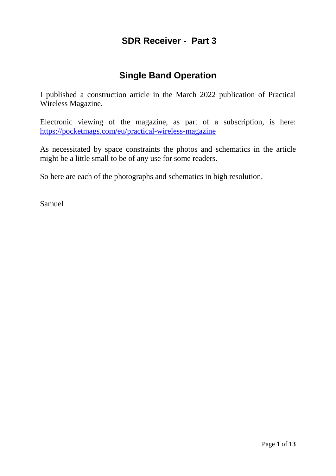## **SDR Receiver - Part 3**

## **Single Band Operation**

I published a construction article in the March 2022 publication of Practical Wireless Magazine.

Electronic viewing of the magazine, as part of a subscription, is here: <https://pocketmags.com/eu/practical-wireless-magazine>

As necessitated by space constraints the photos and schematics in the article might be a little small to be of any use for some readers.

So here are each of the photographs and schematics in high resolution.

Samuel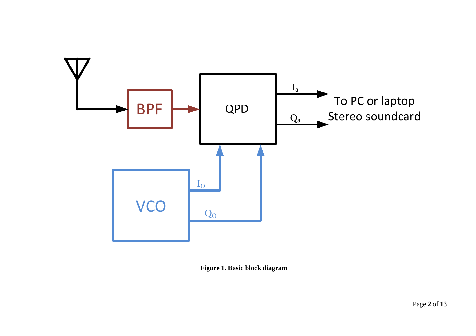

**Figure 1. Basic block diagram**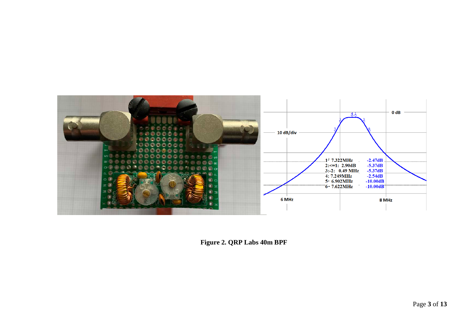

**Figure 2. QRP Labs 40m BPF**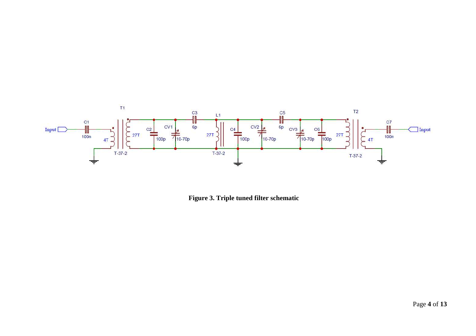

**Figure 3. Triple tuned filter schematic**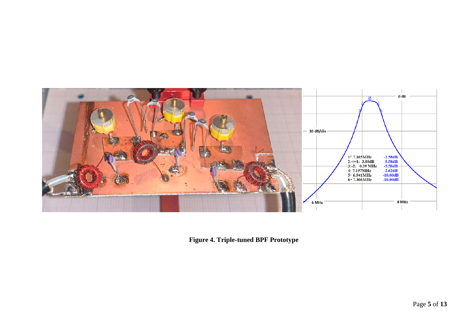

**Figure 4. Triple-tuned BPF Prototype**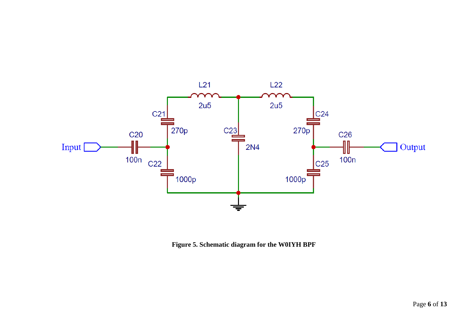

**Figure 5. Schematic diagram for the W0IYH BPF**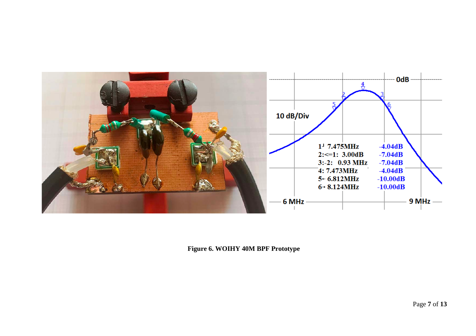

**Figure 6. WOIHY 40M BPF Prototype**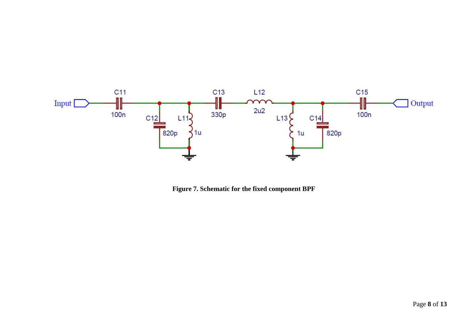

**Figure 7. Schematic for the fixed component BPF**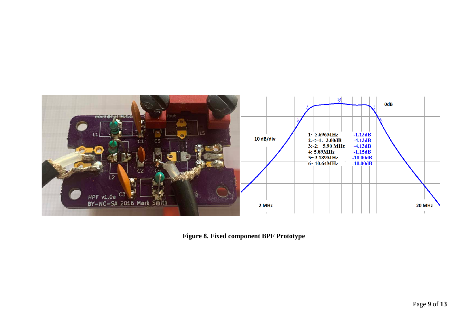

**Figure 8. Fixed component BPF Prototype**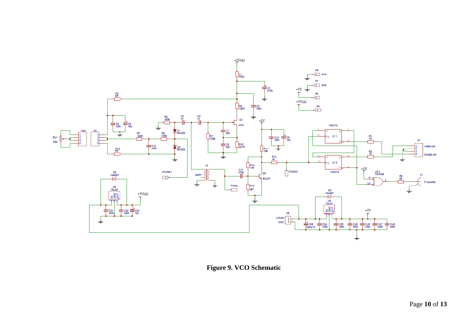

**Figure 9. VCO Schematic**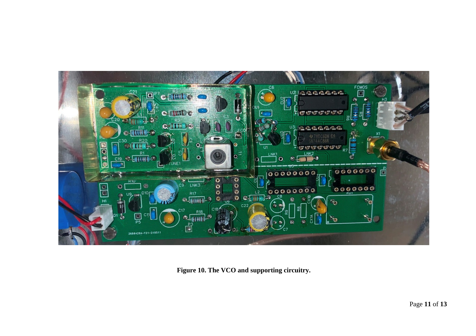

**Figure 10. The VCO and supporting circuitry.**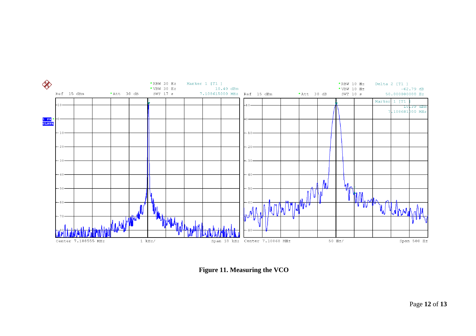

**Figure 11. Measuring the VCO**